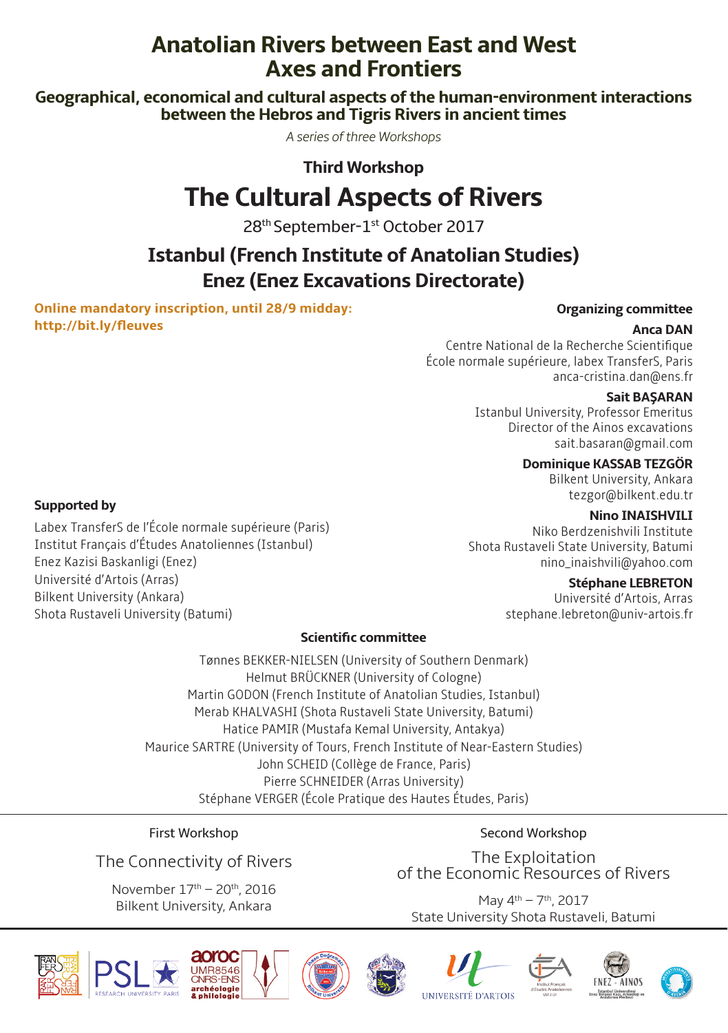# **Anatolian Rivers between East and West Axes and Frontiers**

**Geographical, economical and cultural aspects of the human-environment interactions between the Hebros and Tigris Rivers in ancient times**

*A series of three Workshops*

**Third Workshop**

# **The Cultural Aspects of Rivers**

28th September-1st October 2017

# **Istanbul (French Institute of Anatolian Studies) Enez (Enez Excavations Directorate)**

**Online mandatory inscription, until 28/9 midday: http://bit.ly/fleuves**

Labex TransferS de l'École normale supérieure (Paris) Institut Français d'Études Anatoliennes (Istanbul)

#### **Organizing committee**

#### **Anca DAN**

Centre National de la Recherche Scientifique École normale supérieure, labex TransferS, Paris anca-cristina.dan@ens.fr

#### **Sait BAŞARAN**

Istanbul University, Professor Emeritus Director of the Ainos excavations sait.basaran@gmail.com

**Dominique KASSAB TEZGÖR**

Bilkent University, Ankara tezgor@bilkent.edu.tr

#### **Nino INAISHVILI**

Niko Berdzenishvili Institute Shota Rustaveli State University, Batumi nino\_inaishvili@yahoo.com

#### **Stéphane LEBRETON**

Université d'Artois, Arras stephane.lebreton@univ-artois.fr

#### **Scientific committee**

Tønnes BEKKER-NIELSEN (University of Southern Denmark) Helmut BRÜCKNER (University of Cologne) Martin GODON (French Institute of Anatolian Studies, Istanbul) Merab KHALVASHI (Shota Rustaveli State University, Batumi) Hatice PAMIR (Mustafa Kemal University, Antakya) Maurice SARTRE (University of Tours, French Institute of Near-Eastern Studies) John SCHEID (Collège de France, Paris) Pierre SCHNEIDER (Arras University) Stéphane VERGER (École Pratique des Hautes Études, Paris)

First Workshop

The Connectivity of Rivers

November 17th – 20th, 2016 Bilkent University, Ankara

Second Workshop

The Exploitation of the Economic Resources of Rivers

May 4th – 7th, 2017 State University Shota Rustaveli, Batumi



**Supported by** 

Enez Kazisi Baskanligi (Enez) Université d'Artois (Arras) Bilkent University (Ankara) Shota Rustaveli University (Batumi)













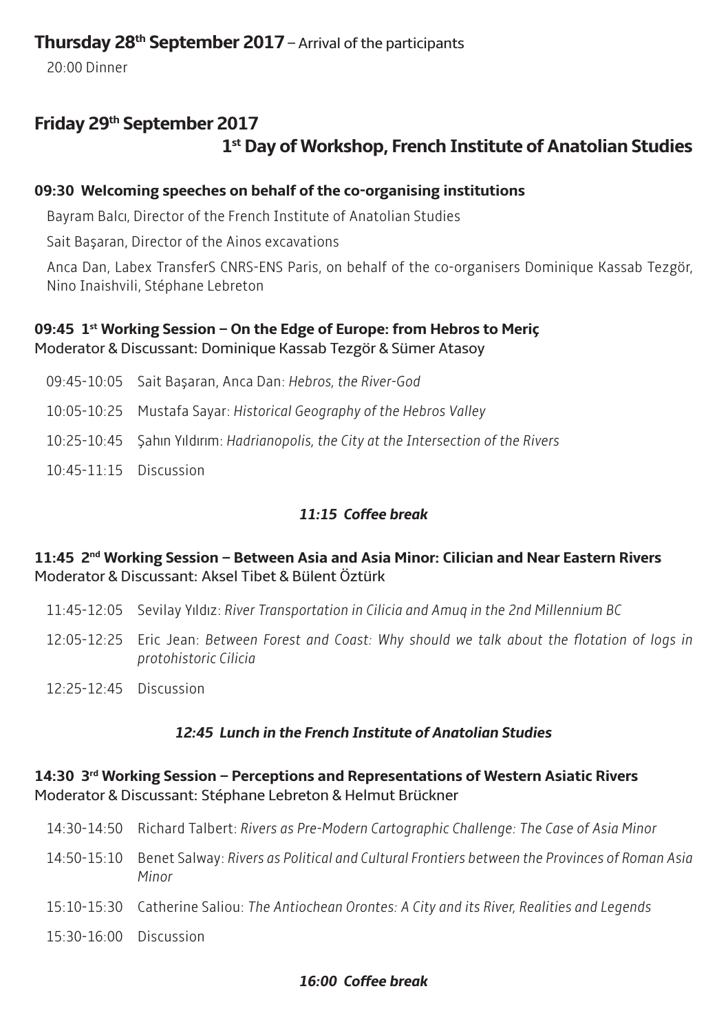### **Thursday 28th September 2017** – Arrival of the participants

20:00 Dinner

## **Friday 29th September 2017 1st Day of Workshop, French Institute of Anatolian Studies**

### **09:30 Welcoming speeches on behalf of the co-organising institutions**

Bayram Balcı, Director of the French Institute of Anatolian Studies

Sait Başaran, Director of the Ainos excavations

Anca Dan, Labex TransferS CNRS-ENS Paris, on behalf of the co-organisers Dominique Kassab Tezgör, Nino Inaishvili, Stéphane Lebreton

### **09:45 1st Working Session – On the Edge of Europe: from Hebros to Meriç** Moderator & Discussant: Dominique Kassab Tezgör & Sümer Atasoy

09:45-10:05 Sait Başaran, Anca Dan: *Hebros, the River-God* 10:05-10:25 Mustafa Sayar: *Historical Geography of the Hebros Valley* 10:25-10:45 Şahın Yıldırım: *Hadrianopolis, the City at the Intersection of the Rivers* 10:45-11:15 Discussion

### *11:15 Coffee break*

### **11:45 2nd Working Session – Between Asia and Asia Minor: Cilician and Near Eastern Rivers** Moderator & Discussant: Aksel Tibet & Bülent Öztürk

- 11:45-12:05 Sevilay Yıldız: *River Transportation in Cilicia and Amuq in the 2nd Millennium BC*
- 12:05-12:25 Eric Jean: *Between Forest and Coast: Why should we talk about the flotation of logs in protohistoric Cilicia*
- 12:25-12:45 Discussion

### *12:45 Lunch in the French Institute of Anatolian Studies*

#### **14:30 3rd Working Session – Perceptions and Representations of Western Asiatic Rivers** Moderator & Discussant: Stéphane Lebreton & Helmut Brückner

| 14:30-14:50 Richard Talbert: Rivers as Pre-Modern Cartographic Challenge: The Case of Asia Minor                  |
|-------------------------------------------------------------------------------------------------------------------|
| 14:50-15:10 Benet Salway: Rivers as Political and Cultural Frontiers between the Provinces of Roman Asia<br>Minor |
| 15:10-15:30 Catherine Saliou: The Antiochean Orontes: A City and its River, Realities and Legends                 |
|                                                                                                                   |

### 15:30-16:00 Discussion

### *16:00 Coffee break*